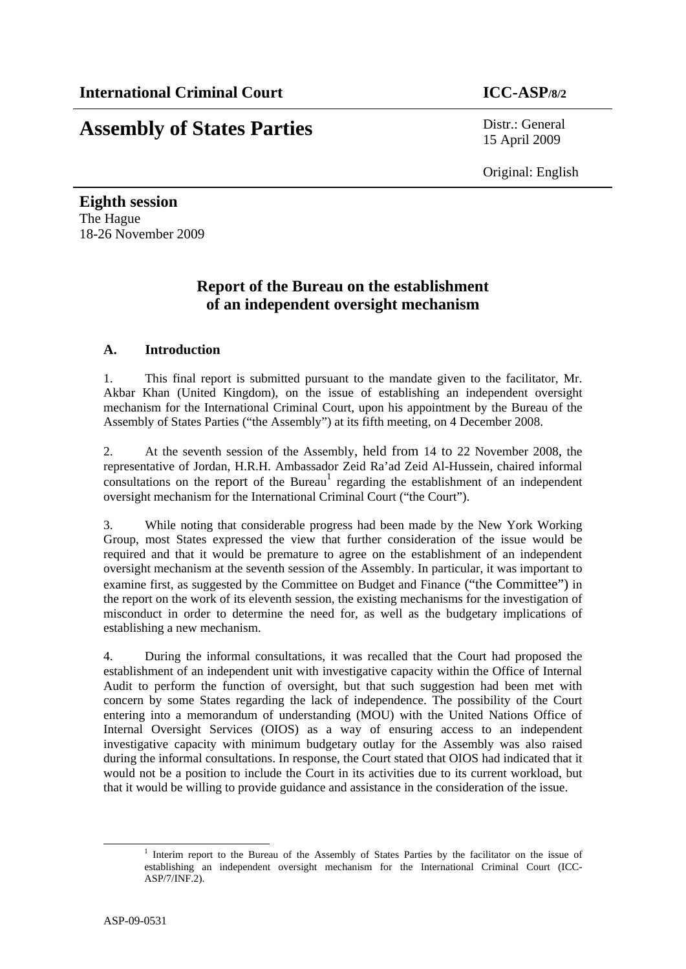# **Assembly of States Parties** Distr.: General

15 April 2009

Original: English

**Eighth session**  The Hague 18-26 November 2009

# **Report of the Bureau on the establishment of an independent oversight mechanism**

# **A. Introduction**

1. This final report is submitted pursuant to the mandate given to the facilitator, Mr. Akbar Khan (United Kingdom), on the issue of establishing an independent oversight mechanism for the International Criminal Court, upon his appointment by the Bureau of the Assembly of States Parties ("the Assembly") at its fifth meeting, on 4 December 2008.

2. At the seventh session of the Assembly, held from 14 to 22 November 2008, the representative of Jordan, H.R.H. Ambassador Zeid Ra'ad Zeid Al-Hussein, chaired informal  $\frac{1}{2}$  consultations on the report of the Bureau<sup>1</sup> regarding the establishment of an independent oversight mechanism for the International Criminal Court ("the Court").

3. While noting that considerable progress had been made by the New York Working Group, most States expressed the view that further consideration of the issue would be required and that it would be premature to agree on the establishment of an independent oversight mechanism at the seventh session of the Assembly. In particular, it was important to examine first, as suggested by the Committee on Budget and Finance ("the Committee") in the report on the work of its eleventh session, the existing mechanisms for the investigation of misconduct in order to determine the need for, as well as the budgetary implications of establishing a new mechanism.

4. During the informal consultations, it was recalled that the Court had proposed the establishment of an independent unit with investigative capacity within the Office of Internal Audit to perform the function of oversight, but that such suggestion had been met with concern by some States regarding the lack of independence. The possibility of the Court entering into a memorandum of understanding (MOU) with the United Nations Office of Internal Oversight Services (OIOS) as a way of ensuring access to an independent investigative capacity with minimum budgetary outlay for the Assembly was also raised during the informal consultations. In response, the Court stated that OIOS had indicated that it would not be a position to include the Court in its activities due to its current workload, but that it would be willing to provide guidance and assistance in the consideration of the issue.

<sup>&</sup>lt;u>1</u> <sup>1</sup> Interim report to the Bureau of the Assembly of States Parties by the facilitator on the issue of establishing an independent oversight mechanism for the International Criminal Court (ICC-ASP/7/INF.2).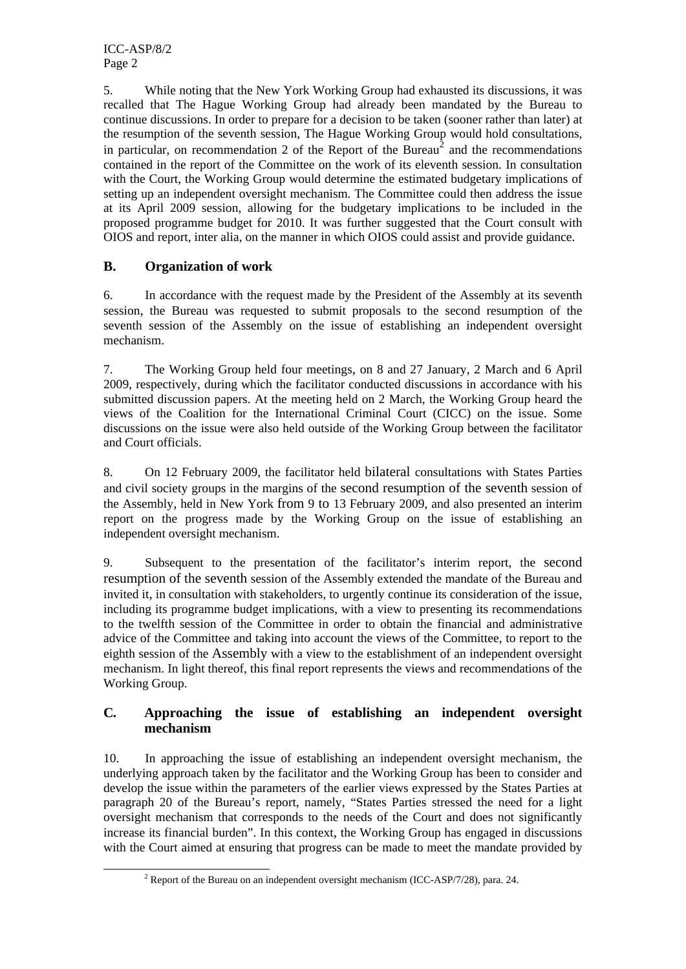5. While noting that the New York Working Group had exhausted its discussions, it was recalled that The Hague Working Group had already been mandated by the Bureau to continue discussions. In order to prepare for a decision to be taken (sooner rather than later) at the resumption of the seventh session, The Hague Working Group would hold consultations, in particular, on recommendation 2 of the Report of the Bureau<sup>2</sup> and the recommendations contained in the report of the Committee on the work of its eleventh session. In consultation with the Court, the Working Group would determine the estimated budgetary implications of setting up an independent oversight mechanism. The Committee could then address the issue at its April 2009 session, allowing for the budgetary implications to be included in the proposed programme budget for 2010. It was further suggested that the Court consult with OIOS and report, inter alia, on the manner in which OIOS could assist and provide guidance.

# **B. Organization of work**

6. In accordance with the request made by the President of the Assembly at its seventh session, the Bureau was requested to submit proposals to the second resumption of the seventh session of the Assembly on the issue of establishing an independent oversight mechanism.

7. The Working Group held four meetings, on 8 and 27 January, 2 March and 6 April 2009, respectively, during which the facilitator conducted discussions in accordance with his submitted discussion papers. At the meeting held on 2 March, the Working Group heard the views of the Coalition for the International Criminal Court (CICC) on the issue. Some discussions on the issue were also held outside of the Working Group between the facilitator and Court officials.

8. On 12 February 2009, the facilitator held bilateral consultations with States Parties and civil society groups in the margins of the second resumption of the seventh session of the Assembly, held in New York from 9 to 13 February 2009, and also presented an interim report on the progress made by the Working Group on the issue of establishing an independent oversight mechanism.

9. Subsequent to the presentation of the facilitator's interim report, the second resumption of the seventh session of the Assembly extended the mandate of the Bureau and invited it, in consultation with stakeholders, to urgently continue its consideration of the issue, including its programme budget implications, with a view to presenting its recommendations to the twelfth session of the Committee in order to obtain the financial and administrative advice of the Committee and taking into account the views of the Committee, to report to the eighth session of the Assembly with a view to the establishment of an independent oversight mechanism. In light thereof, this final report represents the views and recommendations of the Working Group.

# **C***.* **Approaching the issue of establishing an independent oversight mechanism**

10. In approaching the issue of establishing an independent oversight mechanism, the underlying approach taken by the facilitator and the Working Group has been to consider and develop the issue within the parameters of the earlier views expressed by the States Parties at paragraph 20 of the Bureau's report, namely, "States Parties stressed the need for a light oversight mechanism that corresponds to the needs of the Court and does not significantly increase its financial burden". In this context, the Working Group has engaged in discussions with the Court aimed at ensuring that progress can be made to meet the mandate provided by

 <sup>2</sup>  $2$  Report of the Bureau on an independent oversight mechanism (ICC-ASP/7/28), para. 24.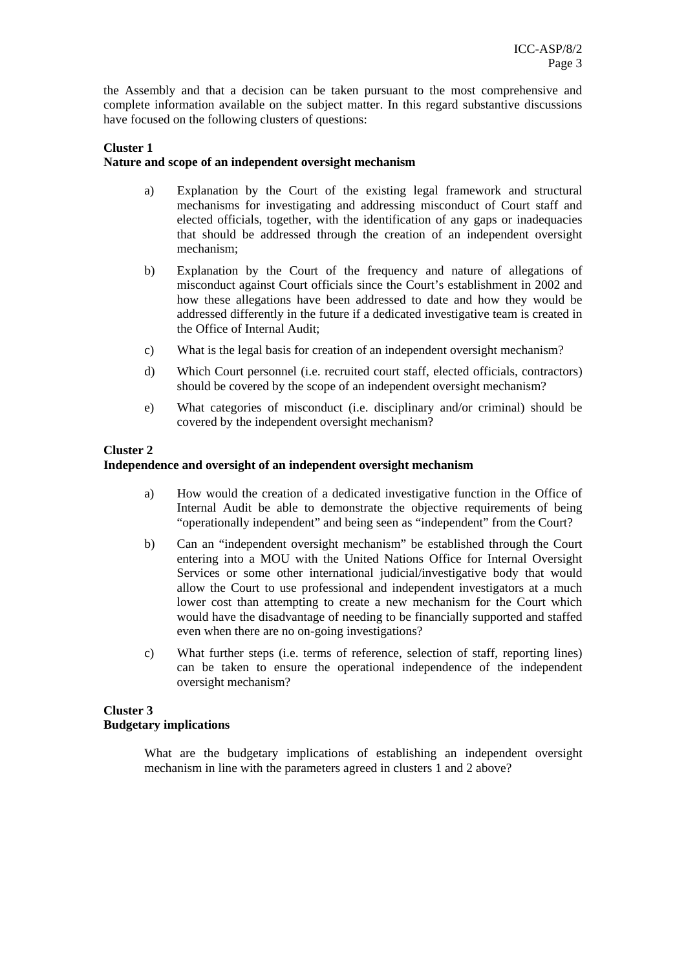the Assembly and that a decision can be taken pursuant to the most comprehensive and complete information available on the subject matter. In this regard substantive discussions have focused on the following clusters of questions:

#### **Cluster 1 Nature and scope of an independent oversight mechanism**

- a) Explanation by the Court of the existing legal framework and structural mechanisms for investigating and addressing misconduct of Court staff and elected officials, together, with the identification of any gaps or inadequacies that should be addressed through the creation of an independent oversight mechanism;
- b) Explanation by the Court of the frequency and nature of allegations of misconduct against Court officials since the Court's establishment in 2002 and how these allegations have been addressed to date and how they would be addressed differently in the future if a dedicated investigative team is created in the Office of Internal Audit;
- c) What is the legal basis for creation of an independent oversight mechanism?
- d) Which Court personnel (i.e. recruited court staff, elected officials, contractors) should be covered by the scope of an independent oversight mechanism?
- e) What categories of misconduct (i.e. disciplinary and/or criminal) should be covered by the independent oversight mechanism?

### **Cluster 2**

#### **Independence and oversight of an independent oversight mechanism**

- a) How would the creation of a dedicated investigative function in the Office of Internal Audit be able to demonstrate the objective requirements of being "operationally independent" and being seen as "independent" from the Court?
- b) Can an "independent oversight mechanism" be established through the Court entering into a MOU with the United Nations Office for Internal Oversight Services or some other international judicial/investigative body that would allow the Court to use professional and independent investigators at a much lower cost than attempting to create a new mechanism for the Court which would have the disadvantage of needing to be financially supported and staffed even when there are no on-going investigations?
- c) What further steps (i.e. terms of reference, selection of staff, reporting lines) can be taken to ensure the operational independence of the independent oversight mechanism?

### **Cluster 3 Budgetary implications**

What are the budgetary implications of establishing an independent oversight mechanism in line with the parameters agreed in clusters 1 and 2 above?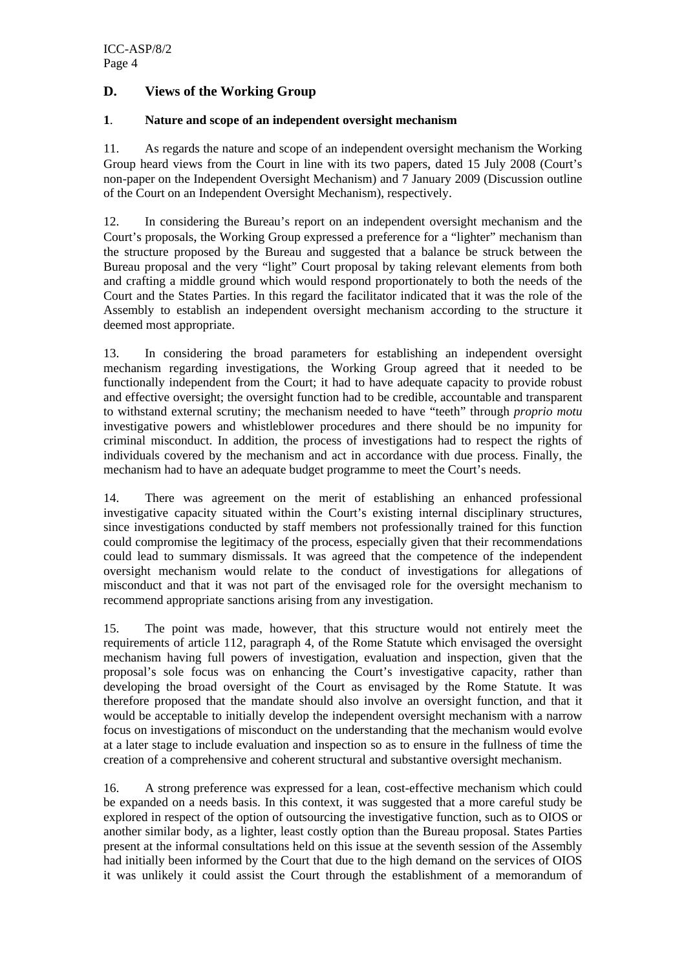# **D. Views of the Working Group**

### **1**. **Nature and scope of an independent oversight mechanism**

11. As regards the nature and scope of an independent oversight mechanism the Working Group heard views from the Court in line with its two papers, dated 15 July 2008 (Court's non-paper on the Independent Oversight Mechanism) and 7 January 2009 (Discussion outline of the Court on an Independent Oversight Mechanism), respectively.

12. In considering the Bureau's report on an independent oversight mechanism and the Court's proposals, the Working Group expressed a preference for a "lighter" mechanism than the structure proposed by the Bureau and suggested that a balance be struck between the Bureau proposal and the very "light" Court proposal by taking relevant elements from both and crafting a middle ground which would respond proportionately to both the needs of the Court and the States Parties. In this regard the facilitator indicated that it was the role of the Assembly to establish an independent oversight mechanism according to the structure it deemed most appropriate.

13. In considering the broad parameters for establishing an independent oversight mechanism regarding investigations, the Working Group agreed that it needed to be functionally independent from the Court; it had to have adequate capacity to provide robust and effective oversight; the oversight function had to be credible, accountable and transparent to withstand external scrutiny; the mechanism needed to have "teeth" through *proprio motu* investigative powers and whistleblower procedures and there should be no impunity for criminal misconduct. In addition, the process of investigations had to respect the rights of individuals covered by the mechanism and act in accordance with due process. Finally, the mechanism had to have an adequate budget programme to meet the Court's needs.

14. There was agreement on the merit of establishing an enhanced professional investigative capacity situated within the Court's existing internal disciplinary structures, since investigations conducted by staff members not professionally trained for this function could compromise the legitimacy of the process, especially given that their recommendations could lead to summary dismissals. It was agreed that the competence of the independent oversight mechanism would relate to the conduct of investigations for allegations of misconduct and that it was not part of the envisaged role for the oversight mechanism to recommend appropriate sanctions arising from any investigation.

15. The point was made, however, that this structure would not entirely meet the requirements of article 112, paragraph 4, of the Rome Statute which envisaged the oversight mechanism having full powers of investigation, evaluation and inspection, given that the proposal's sole focus was on enhancing the Court's investigative capacity, rather than developing the broad oversight of the Court as envisaged by the Rome Statute. It was therefore proposed that the mandate should also involve an oversight function, and that it would be acceptable to initially develop the independent oversight mechanism with a narrow focus on investigations of misconduct on the understanding that the mechanism would evolve at a later stage to include evaluation and inspection so as to ensure in the fullness of time the creation of a comprehensive and coherent structural and substantive oversight mechanism.

16. A strong preference was expressed for a lean, cost-effective mechanism which could be expanded on a needs basis. In this context, it was suggested that a more careful study be explored in respect of the option of outsourcing the investigative function, such as to OIOS or another similar body, as a lighter, least costly option than the Bureau proposal. States Parties present at the informal consultations held on this issue at the seventh session of the Assembly had initially been informed by the Court that due to the high demand on the services of OIOS it was unlikely it could assist the Court through the establishment of a memorandum of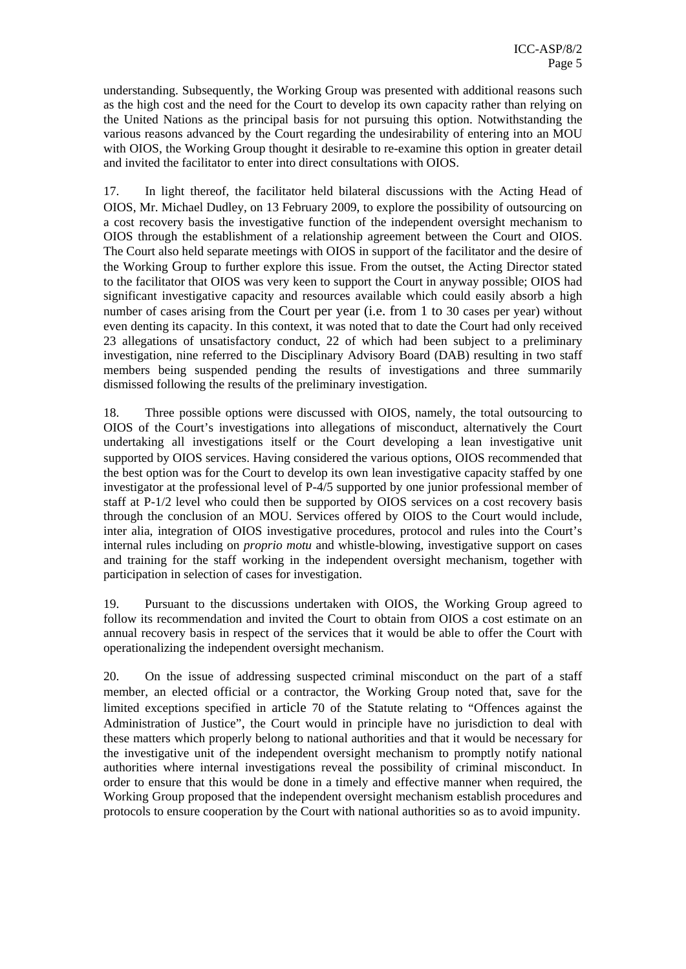understanding. Subsequently, the Working Group was presented with additional reasons such as the high cost and the need for the Court to develop its own capacity rather than relying on the United Nations as the principal basis for not pursuing this option. Notwithstanding the various reasons advanced by the Court regarding the undesirability of entering into an MOU with OIOS, the Working Group thought it desirable to re-examine this option in greater detail and invited the facilitator to enter into direct consultations with OIOS.

17. In light thereof, the facilitator held bilateral discussions with the Acting Head of OIOS, Mr. Michael Dudley, on 13 February 2009, to explore the possibility of outsourcing on a cost recovery basis the investigative function of the independent oversight mechanism to OIOS through the establishment of a relationship agreement between the Court and OIOS. The Court also held separate meetings with OIOS in support of the facilitator and the desire of the Working Group to further explore this issue. From the outset, the Acting Director stated to the facilitator that OIOS was very keen to support the Court in anyway possible; OIOS had significant investigative capacity and resources available which could easily absorb a high number of cases arising from the Court per year (i.e. from 1 to 30 cases per year) without even denting its capacity. In this context, it was noted that to date the Court had only received 23 allegations of unsatisfactory conduct, 22 of which had been subject to a preliminary investigation, nine referred to the Disciplinary Advisory Board (DAB) resulting in two staff members being suspended pending the results of investigations and three summarily dismissed following the results of the preliminary investigation.

18. Three possible options were discussed with OIOS, namely, the total outsourcing to OIOS of the Court's investigations into allegations of misconduct, alternatively the Court undertaking all investigations itself or the Court developing a lean investigative unit supported by OIOS services. Having considered the various options, OIOS recommended that the best option was for the Court to develop its own lean investigative capacity staffed by one investigator at the professional level of P-4/5 supported by one junior professional member of staff at P-1/2 level who could then be supported by OIOS services on a cost recovery basis through the conclusion of an MOU. Services offered by OIOS to the Court would include, inter alia, integration of OIOS investigative procedures, protocol and rules into the Court's internal rules including on *proprio motu* and whistle-blowing, investigative support on cases and training for the staff working in the independent oversight mechanism, together with participation in selection of cases for investigation.

19. Pursuant to the discussions undertaken with OIOS, the Working Group agreed to follow its recommendation and invited the Court to obtain from OIOS a cost estimate on an annual recovery basis in respect of the services that it would be able to offer the Court with operationalizing the independent oversight mechanism.

20. On the issue of addressing suspected criminal misconduct on the part of a staff member, an elected official or a contractor, the Working Group noted that, save for the limited exceptions specified in article 70 of the Statute relating to "Offences against the Administration of Justice", the Court would in principle have no jurisdiction to deal with these matters which properly belong to national authorities and that it would be necessary for the investigative unit of the independent oversight mechanism to promptly notify national authorities where internal investigations reveal the possibility of criminal misconduct. In order to ensure that this would be done in a timely and effective manner when required, the Working Group proposed that the independent oversight mechanism establish procedures and protocols to ensure cooperation by the Court with national authorities so as to avoid impunity.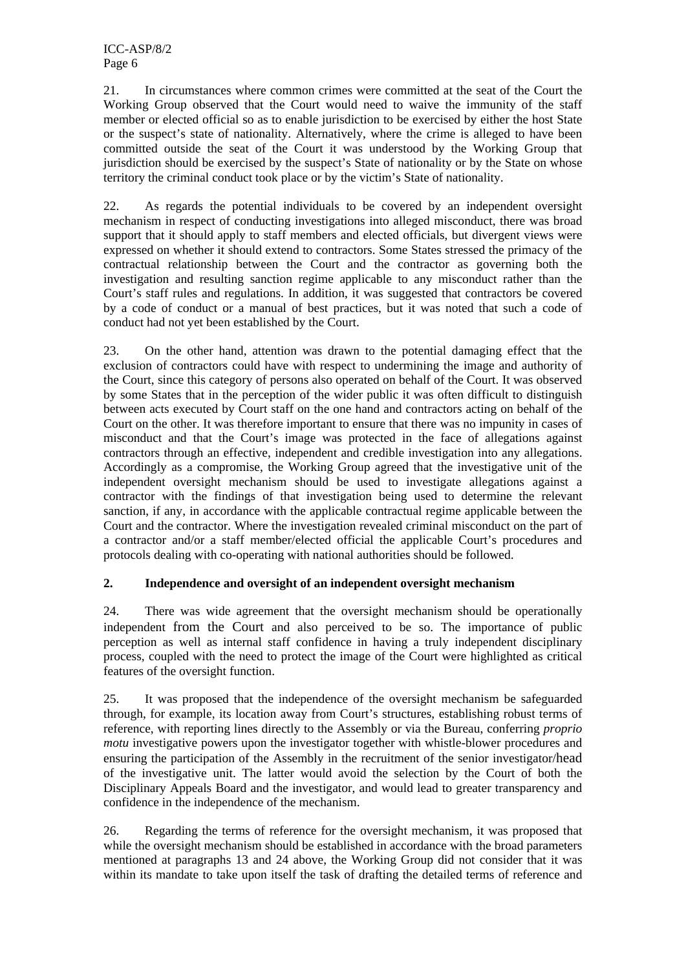21. In circumstances where common crimes were committed at the seat of the Court the Working Group observed that the Court would need to waive the immunity of the staff member or elected official so as to enable jurisdiction to be exercised by either the host State or the suspect's state of nationality. Alternatively, where the crime is alleged to have been committed outside the seat of the Court it was understood by the Working Group that jurisdiction should be exercised by the suspect's State of nationality or by the State on whose territory the criminal conduct took place or by the victim's State of nationality.

22. As regards the potential individuals to be covered by an independent oversight mechanism in respect of conducting investigations into alleged misconduct, there was broad support that it should apply to staff members and elected officials, but divergent views were expressed on whether it should extend to contractors. Some States stressed the primacy of the contractual relationship between the Court and the contractor as governing both the investigation and resulting sanction regime applicable to any misconduct rather than the Court's staff rules and regulations. In addition, it was suggested that contractors be covered by a code of conduct or a manual of best practices, but it was noted that such a code of conduct had not yet been established by the Court.

23. On the other hand, attention was drawn to the potential damaging effect that the exclusion of contractors could have with respect to undermining the image and authority of the Court, since this category of persons also operated on behalf of the Court. It was observed by some States that in the perception of the wider public it was often difficult to distinguish between acts executed by Court staff on the one hand and contractors acting on behalf of the Court on the other. It was therefore important to ensure that there was no impunity in cases of misconduct and that the Court's image was protected in the face of allegations against contractors through an effective, independent and credible investigation into any allegations. Accordingly as a compromise, the Working Group agreed that the investigative unit of the independent oversight mechanism should be used to investigate allegations against a contractor with the findings of that investigation being used to determine the relevant sanction, if any, in accordance with the applicable contractual regime applicable between the Court and the contractor. Where the investigation revealed criminal misconduct on the part of a contractor and/or a staff member/elected official the applicable Court's procedures and protocols dealing with co-operating with national authorities should be followed.

### **2. Independence and oversight of an independent oversight mechanism**

24. There was wide agreement that the oversight mechanism should be operationally independent from the Court and also perceived to be so. The importance of public perception as well as internal staff confidence in having a truly independent disciplinary process, coupled with the need to protect the image of the Court were highlighted as critical features of the oversight function.

25. It was proposed that the independence of the oversight mechanism be safeguarded through, for example, its location away from Court's structures, establishing robust terms of reference, with reporting lines directly to the Assembly or via the Bureau, conferring *proprio motu* investigative powers upon the investigator together with whistle-blower procedures and ensuring the participation of the Assembly in the recruitment of the senior investigator/head of the investigative unit. The latter would avoid the selection by the Court of both the Disciplinary Appeals Board and the investigator, and would lead to greater transparency and confidence in the independence of the mechanism.

26. Regarding the terms of reference for the oversight mechanism, it was proposed that while the oversight mechanism should be established in accordance with the broad parameters mentioned at paragraphs 13 and 24 above, the Working Group did not consider that it was within its mandate to take upon itself the task of drafting the detailed terms of reference and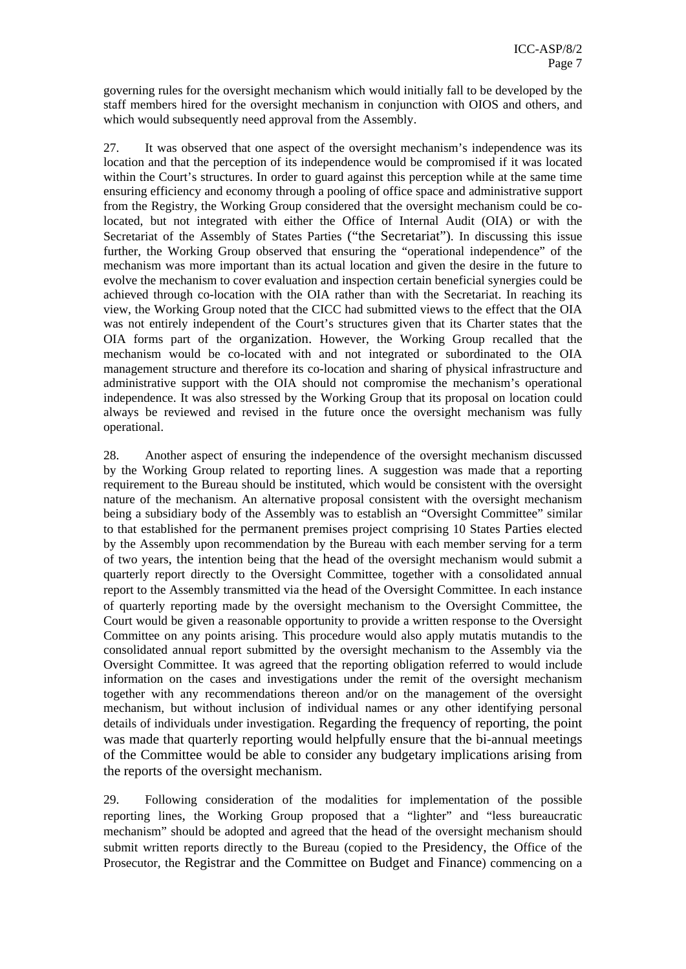governing rules for the oversight mechanism which would initially fall to be developed by the staff members hired for the oversight mechanism in conjunction with OIOS and others, and which would subsequently need approval from the Assembly.

27. It was observed that one aspect of the oversight mechanism's independence was its location and that the perception of its independence would be compromised if it was located within the Court's structures. In order to guard against this perception while at the same time ensuring efficiency and economy through a pooling of office space and administrative support from the Registry, the Working Group considered that the oversight mechanism could be colocated, but not integrated with either the Office of Internal Audit (OIA) or with the Secretariat of the Assembly of States Parties ("the Secretariat"). In discussing this issue further, the Working Group observed that ensuring the "operational independence" of the mechanism was more important than its actual location and given the desire in the future to evolve the mechanism to cover evaluation and inspection certain beneficial synergies could be achieved through co-location with the OIA rather than with the Secretariat. In reaching its view, the Working Group noted that the CICC had submitted views to the effect that the OIA was not entirely independent of the Court's structures given that its Charter states that the OIA forms part of the organization. However, the Working Group recalled that the mechanism would be co-located with and not integrated or subordinated to the OIA management structure and therefore its co-location and sharing of physical infrastructure and administrative support with the OIA should not compromise the mechanism's operational independence. It was also stressed by the Working Group that its proposal on location could always be reviewed and revised in the future once the oversight mechanism was fully operational.

28. Another aspect of ensuring the independence of the oversight mechanism discussed by the Working Group related to reporting lines. A suggestion was made that a reporting requirement to the Bureau should be instituted, which would be consistent with the oversight nature of the mechanism. An alternative proposal consistent with the oversight mechanism being a subsidiary body of the Assembly was to establish an "Oversight Committee" similar to that established for the permanent premises project comprising 10 States Parties elected by the Assembly upon recommendation by the Bureau with each member serving for a term of two years, the intention being that the head of the oversight mechanism would submit a quarterly report directly to the Oversight Committee, together with a consolidated annual report to the Assembly transmitted via the head of the Oversight Committee. In each instance of quarterly reporting made by the oversight mechanism to the Oversight Committee, the Court would be given a reasonable opportunity to provide a written response to the Oversight Committee on any points arising. This procedure would also apply mutatis mutandis to the consolidated annual report submitted by the oversight mechanism to the Assembly via the Oversight Committee. It was agreed that the reporting obligation referred to would include information on the cases and investigations under the remit of the oversight mechanism together with any recommendations thereon and/or on the management of the oversight mechanism, but without inclusion of individual names or any other identifying personal details of individuals under investigation. Regarding the frequency of reporting, the point was made that quarterly reporting would helpfully ensure that the bi-annual meetings of the Committee would be able to consider any budgetary implications arising from the reports of the oversight mechanism.

29. Following consideration of the modalities for implementation of the possible reporting lines, the Working Group proposed that a "lighter" and "less bureaucratic mechanism" should be adopted and agreed that the head of the oversight mechanism should submit written reports directly to the Bureau (copied to the Presidency, the Office of the Prosecutor, the Registrar and the Committee on Budget and Finance) commencing on a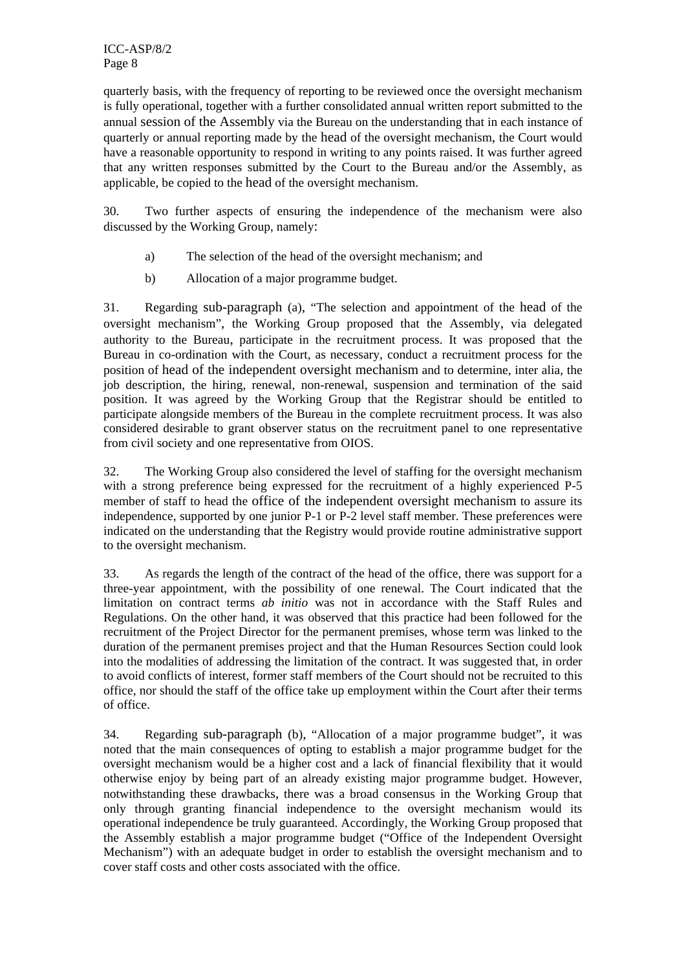quarterly basis, with the frequency of reporting to be reviewed once the oversight mechanism is fully operational, together with a further consolidated annual written report submitted to the annual session of the Assembly via the Bureau on the understanding that in each instance of quarterly or annual reporting made by the head of the oversight mechanism, the Court would have a reasonable opportunity to respond in writing to any points raised. It was further agreed that any written responses submitted by the Court to the Bureau and/or the Assembly, as applicable, be copied to the head of the oversight mechanism.

30. Two further aspects of ensuring the independence of the mechanism were also discussed by the Working Group, namely:

- a) The selection of the head of the oversight mechanism; and
- b) Allocation of a major programme budget.

31. Regarding sub-paragraph (a), "The selection and appointment of the head of the oversight mechanism", the Working Group proposed that the Assembly, via delegated authority to the Bureau, participate in the recruitment process. It was proposed that the Bureau in co-ordination with the Court, as necessary, conduct a recruitment process for the position of head of the independent oversight mechanism and to determine, inter alia, the job description, the hiring, renewal, non-renewal, suspension and termination of the said position. It was agreed by the Working Group that the Registrar should be entitled to participate alongside members of the Bureau in the complete recruitment process. It was also considered desirable to grant observer status on the recruitment panel to one representative from civil society and one representative from OIOS.

32. The Working Group also considered the level of staffing for the oversight mechanism with a strong preference being expressed for the recruitment of a highly experienced P-5 member of staff to head the office of the independent oversight mechanism to assure its independence, supported by one junior P-1 or P-2 level staff member. These preferences were indicated on the understanding that the Registry would provide routine administrative support to the oversight mechanism.

33. As regards the length of the contract of the head of the office, there was support for a three-year appointment, with the possibility of one renewal. The Court indicated that the limitation on contract terms *ab initio* was not in accordance with the Staff Rules and Regulations. On the other hand, it was observed that this practice had been followed for the recruitment of the Project Director for the permanent premises, whose term was linked to the duration of the permanent premises project and that the Human Resources Section could look into the modalities of addressing the limitation of the contract. It was suggested that, in order to avoid conflicts of interest, former staff members of the Court should not be recruited to this office, nor should the staff of the office take up employment within the Court after their terms of office.

34. Regarding sub-paragraph (b), "Allocation of a major programme budget", it was noted that the main consequences of opting to establish a major programme budget for the oversight mechanism would be a higher cost and a lack of financial flexibility that it would otherwise enjoy by being part of an already existing major programme budget. However, notwithstanding these drawbacks, there was a broad consensus in the Working Group that only through granting financial independence to the oversight mechanism would its operational independence be truly guaranteed. Accordingly, the Working Group proposed that the Assembly establish a major programme budget ("Office of the Independent Oversight Mechanism") with an adequate budget in order to establish the oversight mechanism and to cover staff costs and other costs associated with the office.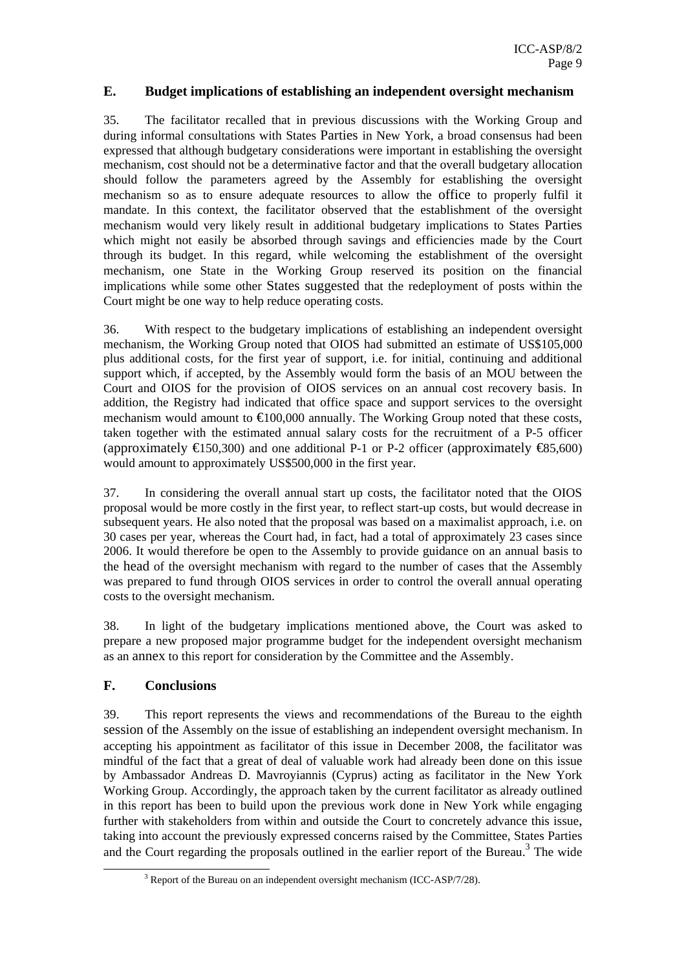### **E. Budget implications of establishing an independent oversight mechanism**

35. The facilitator recalled that in previous discussions with the Working Group and during informal consultations with States Parties in New York, a broad consensus had been expressed that although budgetary considerations were important in establishing the oversight mechanism, cost should not be a determinative factor and that the overall budgetary allocation should follow the parameters agreed by the Assembly for establishing the oversight mechanism so as to ensure adequate resources to allow the office to properly fulfil it mandate. In this context, the facilitator observed that the establishment of the oversight mechanism would very likely result in additional budgetary implications to States Parties which might not easily be absorbed through savings and efficiencies made by the Court through its budget. In this regard, while welcoming the establishment of the oversight mechanism, one State in the Working Group reserved its position on the financial implications while some other States suggested that the redeployment of posts within the Court might be one way to help reduce operating costs.

36. With respect to the budgetary implications of establishing an independent oversight mechanism, the Working Group noted that OIOS had submitted an estimate of US\$105,000 plus additional costs, for the first year of support, i.e. for initial, continuing and additional support which, if accepted, by the Assembly would form the basis of an MOU between the Court and OIOS for the provision of OIOS services on an annual cost recovery basis. In addition, the Registry had indicated that office space and support services to the oversight mechanism would amount to  $\epsilon 00,000$  annually. The Working Group noted that these costs, taken together with the estimated annual salary costs for the recruitment of a P-5 officer (approximately  $\bigoplus$  50,300) and one additional P-1 or P-2 officer (approximately  $\bigoplus$  5.600) would amount to approximately US\$500,000 in the first year.

37. In considering the overall annual start up costs, the facilitator noted that the OIOS proposal would be more costly in the first year, to reflect start-up costs, but would decrease in subsequent years. He also noted that the proposal was based on a maximalist approach, i.e. on 30 cases per year, whereas the Court had, in fact, had a total of approximately 23 cases since 2006. It would therefore be open to the Assembly to provide guidance on an annual basis to the head of the oversight mechanism with regard to the number of cases that the Assembly was prepared to fund through OIOS services in order to control the overall annual operating costs to the oversight mechanism.

38. In light of the budgetary implications mentioned above, the Court was asked to prepare a new proposed major programme budget for the independent oversight mechanism as an annex to this report for consideration by the Committee and the Assembly.

### **F. Conclusions**

39. This report represents the views and recommendations of the Bureau to the eighth session of the Assembly on the issue of establishing an independent oversight mechanism. In accepting his appointment as facilitator of this issue in December 2008, the facilitator was mindful of the fact that a great of deal of valuable work had already been done on this issue by Ambassador Andreas D. Mavroyiannis (Cyprus) acting as facilitator in the New York Working Group. Accordingly, the approach taken by the current facilitator as already outlined in this report has been to build upon the previous work done in New York while engaging further with stakeholders from within and outside the Court to concretely advance this issue, taking into account the previously expressed concerns raised by the Committee, States Parties and the Court regarding the proposals outlined in the earlier report of the Bureau.<sup>3</sup> The wide

 <sup>3</sup>  $3$  Report of the Bureau on an independent oversight mechanism (ICC-ASP/7/28).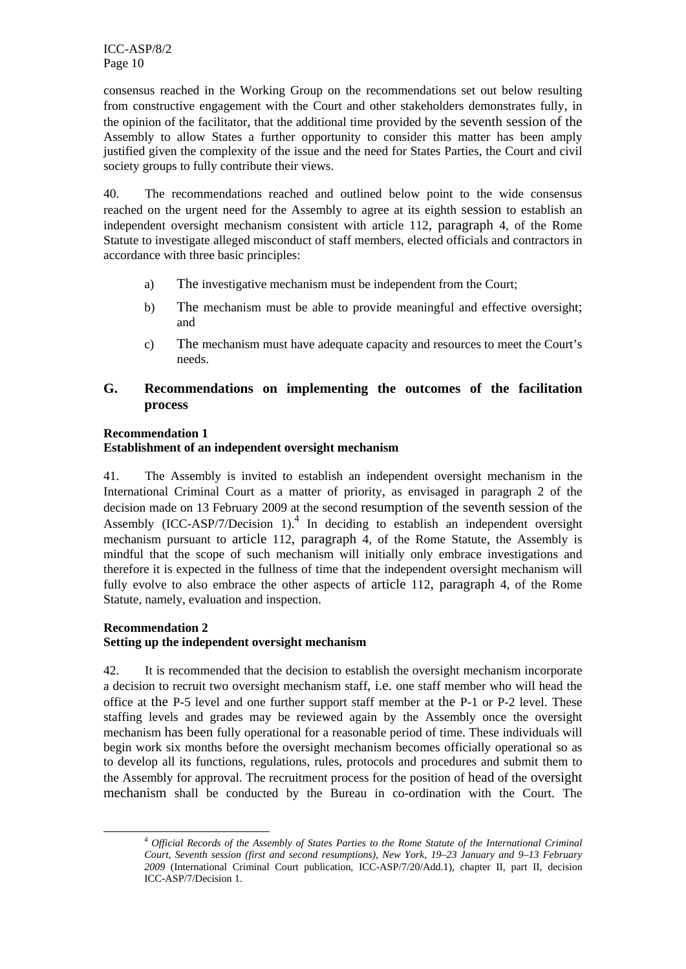consensus reached in the Working Group on the recommendations set out below resulting from constructive engagement with the Court and other stakeholders demonstrates fully, in the opinion of the facilitator, that the additional time provided by the seventh session of the Assembly to allow States a further opportunity to consider this matter has been amply justified given the complexity of the issue and the need for States Parties, the Court and civil society groups to fully contribute their views.

40. The recommendations reached and outlined below point to the wide consensus reached on the urgent need for the Assembly to agree at its eighth session to establish an independent oversight mechanism consistent with article 112, paragraph 4, of the Rome Statute to investigate alleged misconduct of staff members, elected officials and contractors in accordance with three basic principles:

- a) The investigative mechanism must be independent from the Court;
- b) The mechanism must be able to provide meaningful and effective oversight; and
- c) The mechanism must have adequate capacity and resources to meet the Court's needs.

# **G. Recommendations on implementing the outcomes of the facilitation process**

### **Recommendation 1 Establishment of an independent oversight mechanism**

41. The Assembly is invited to establish an independent oversight mechanism in the International Criminal Court as a matter of priority, as envisaged in paragraph 2 of the decision made on 13 February 2009 at the second resumption of the seventh session of the Assembly  $(ICC-ASP/7/Decision 1)<sup>4</sup>$  In deciding to establish an independent oversight mechanism pursuant to article 112, paragraph 4, of the Rome Statute, the Assembly is mindful that the scope of such mechanism will initially only embrace investigations and therefore it is expected in the fullness of time that the independent oversight mechanism will fully evolve to also embrace the other aspects of article 112, paragraph 4, of the Rome Statute, namely, evaluation and inspection.

### **Recommendation 2 Setting up the independent oversight mechanism**

42. It is recommended that the decision to establish the oversight mechanism incorporate a decision to recruit two oversight mechanism staff, i.e. one staff member who will head the office at the P-5 level and one further support staff member at the P-1 or P-2 level. These staffing levels and grades may be reviewed again by the Assembly once the oversight mechanism has been fully operational for a reasonable period of time. These individuals will begin work six months before the oversight mechanism becomes officially operational so as to develop all its functions, regulations, rules, protocols and procedures and submit them to the Assembly for approval. The recruitment process for the position of head of the oversight mechanism shall be conducted by the Bureau in co-ordination with the Court. The

 <sup>4</sup> *Official Records of the Assembly of States Parties to the Rome Statute of the International Criminal Court, Seventh session (first and second resumptions), New York, 19–23 January and 9–13 February 2009* (International Criminal Court publication, ICC-ASP/7/20/Add.1), chapter II, part II, decision ICC-ASP/7/Decision 1.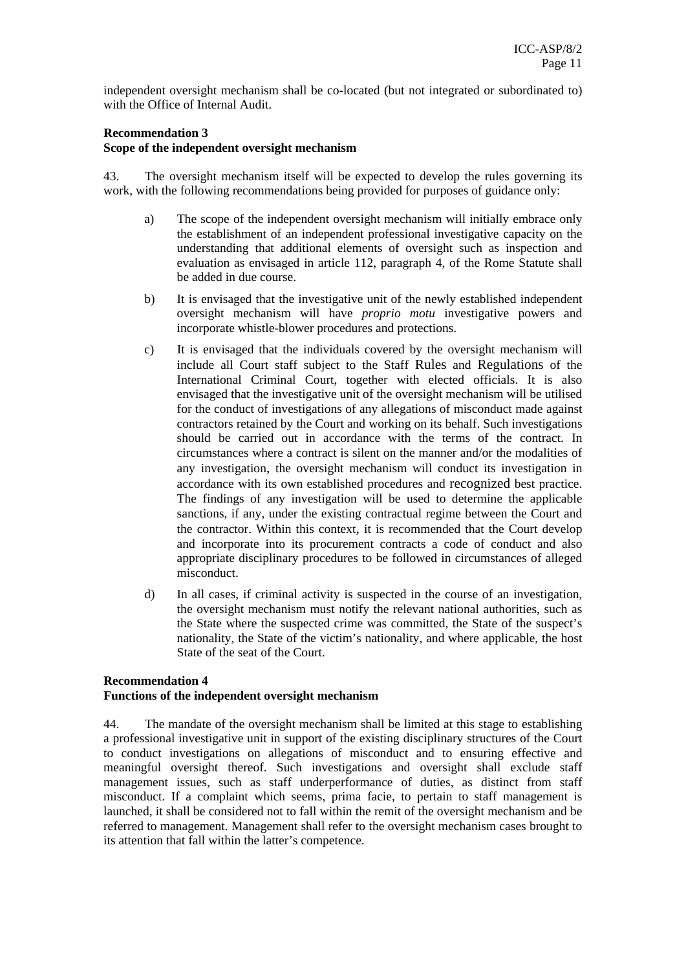independent oversight mechanism shall be co-located (but not integrated or subordinated to) with the Office of Internal Audit.

### **Recommendation 3**

#### **Scope of the independent oversight mechanism**

43. The oversight mechanism itself will be expected to develop the rules governing its work, with the following recommendations being provided for purposes of guidance only:

- a) The scope of the independent oversight mechanism will initially embrace only the establishment of an independent professional investigative capacity on the understanding that additional elements of oversight such as inspection and evaluation as envisaged in article 112, paragraph 4, of the Rome Statute shall be added in due course.
- b) It is envisaged that the investigative unit of the newly established independent oversight mechanism will have *proprio motu* investigative powers and incorporate whistle-blower procedures and protections.
- c) It is envisaged that the individuals covered by the oversight mechanism will include all Court staff subject to the Staff Rules and Regulations of the International Criminal Court, together with elected officials. It is also envisaged that the investigative unit of the oversight mechanism will be utilised for the conduct of investigations of any allegations of misconduct made against contractors retained by the Court and working on its behalf. Such investigations should be carried out in accordance with the terms of the contract. In circumstances where a contract is silent on the manner and/or the modalities of any investigation, the oversight mechanism will conduct its investigation in accordance with its own established procedures and recognized best practice. The findings of any investigation will be used to determine the applicable sanctions, if any, under the existing contractual regime between the Court and the contractor. Within this context, it is recommended that the Court develop and incorporate into its procurement contracts a code of conduct and also appropriate disciplinary procedures to be followed in circumstances of alleged misconduct.
- d) In all cases, if criminal activity is suspected in the course of an investigation, the oversight mechanism must notify the relevant national authorities, such as the State where the suspected crime was committed, the State of the suspect's nationality, the State of the victim's nationality, and where applicable, the host State of the seat of the Court.

### **Recommendation 4 Functions of the independent oversight mechanism**

44. The mandate of the oversight mechanism shall be limited at this stage to establishing a professional investigative unit in support of the existing disciplinary structures of the Court to conduct investigations on allegations of misconduct and to ensuring effective and meaningful oversight thereof. Such investigations and oversight shall exclude staff management issues, such as staff underperformance of duties, as distinct from staff misconduct. If a complaint which seems, prima facie, to pertain to staff management is launched, it shall be considered not to fall within the remit of the oversight mechanism and be referred to management. Management shall refer to the oversight mechanism cases brought to its attention that fall within the latter's competence.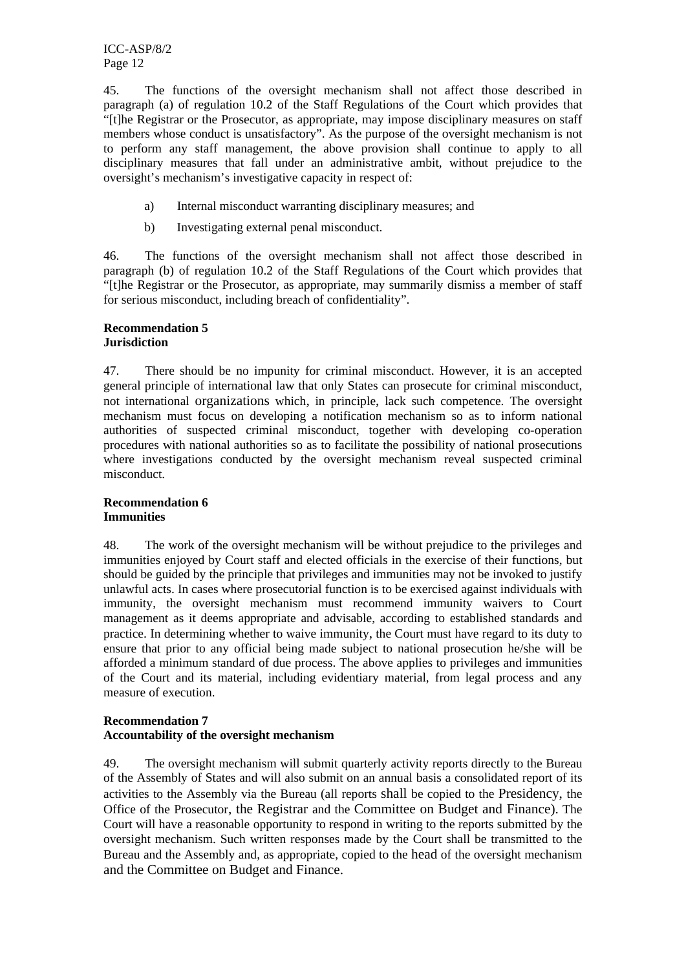ICC-ASP/8/2 Page 12

45. The functions of the oversight mechanism shall not affect those described in paragraph (a) of regulation 10.2 of the Staff Regulations of the Court which provides that "[t]he Registrar or the Prosecutor, as appropriate, may impose disciplinary measures on staff members whose conduct is unsatisfactory". As the purpose of the oversight mechanism is not to perform any staff management, the above provision shall continue to apply to all disciplinary measures that fall under an administrative ambit, without prejudice to the oversight's mechanism's investigative capacity in respect of:

- a) Internal misconduct warranting disciplinary measures; and
- b) Investigating external penal misconduct.

46. The functions of the oversight mechanism shall not affect those described in paragraph (b) of regulation 10.2 of the Staff Regulations of the Court which provides that "[t]he Registrar or the Prosecutor, as appropriate, may summarily dismiss a member of staff for serious misconduct, including breach of confidentiality".

#### **Recommendation 5 Jurisdiction**

47. There should be no impunity for criminal misconduct. However, it is an accepted general principle of international law that only States can prosecute for criminal misconduct, not international organizations which, in principle, lack such competence. The oversight mechanism must focus on developing a notification mechanism so as to inform national authorities of suspected criminal misconduct, together with developing co-operation procedures with national authorities so as to facilitate the possibility of national prosecutions where investigations conducted by the oversight mechanism reveal suspected criminal misconduct.

### **Recommendation 6 Immunities**

48. The work of the oversight mechanism will be without prejudice to the privileges and immunities enjoyed by Court staff and elected officials in the exercise of their functions, but should be guided by the principle that privileges and immunities may not be invoked to justify unlawful acts. In cases where prosecutorial function is to be exercised against individuals with immunity, the oversight mechanism must recommend immunity waivers to Court management as it deems appropriate and advisable, according to established standards and practice. In determining whether to waive immunity, the Court must have regard to its duty to ensure that prior to any official being made subject to national prosecution he/she will be afforded a minimum standard of due process. The above applies to privileges and immunities of the Court and its material, including evidentiary material, from legal process and any measure of execution.

### **Recommendation 7 Accountability of the oversight mechanism**

49. The oversight mechanism will submit quarterly activity reports directly to the Bureau of the Assembly of States and will also submit on an annual basis a consolidated report of its activities to the Assembly via the Bureau (all reports shall be copied to the Presidency, the Office of the Prosecutor, the Registrar and the Committee on Budget and Finance). The Court will have a reasonable opportunity to respond in writing to the reports submitted by the oversight mechanism. Such written responses made by the Court shall be transmitted to the Bureau and the Assembly and, as appropriate, copied to the head of the oversight mechanism and the Committee on Budget and Finance.